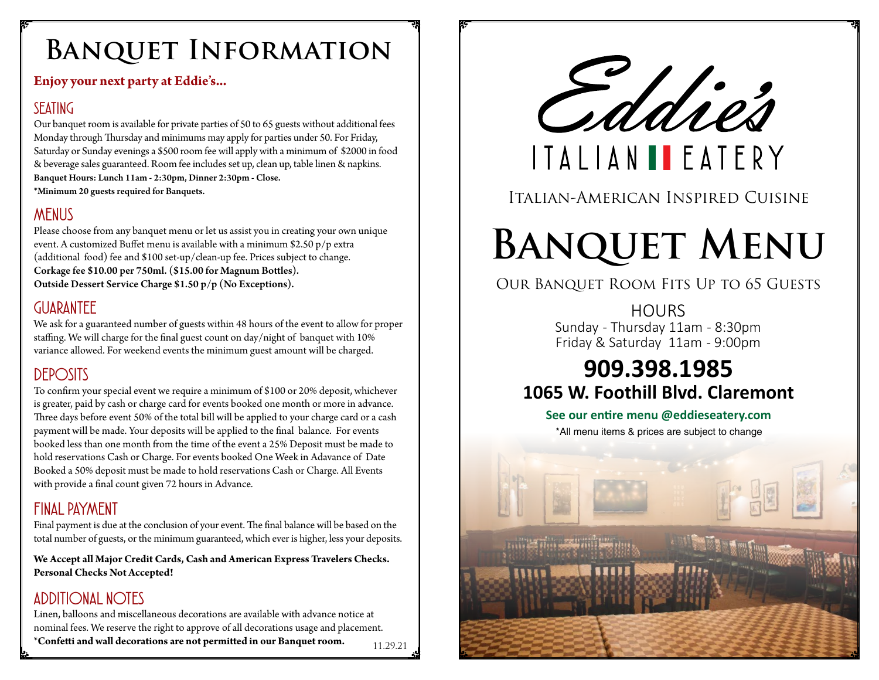# **Banquet Information**

### **Enjoy your next party at Eddie's...**

### *SEATING*

Our banquet room is available for private parties of 50 to 65 guests without additional fees Monday through Thursday and minimums may apply for parties under 50. For Friday, Saturday or Sunday evenings a \$500 room fee will apply with a minimum of \$2000 in food & beverage sales guaranteed. Room fee includes set up, clean up, table linen & napkins. Banquet Hours: Lunch 11am - 2:30pm, Dinner 2:30pm - Close. \*Minimum 20 guests required for Banquets.

# *MENUS*

Please choose from any banquet menu or let us assist you in creating your own unique event. A customized Buffet menu is available with a minimum \$2.50 p/p extra (additional food) fee and \$100 set-up/clean-up fee. Prices subject to change. Corkage fee \$10.00 per 750ml. (\$15.00 for Magnum Bottles). Outside Dessert Service Charge \$1.50 p/p (No Exceptions).

### *GUARANTEE*

We ask for a guaranteed number of guests within 48 hours of the event to allow for proper staffing. We will charge for the final guest count on day/night of banquet with 10% variance allowed. For weekend events the minimum guest amount will be charged.

### *DEPOSITS*

To confirm your special event we require a minimum of \$100 or 20% deposit, whichever is greater, paid by cash or charge card for events booked one month or more in advance. Three days before event 50% of the total bill will be applied to your charge card or a cash payment will be made. Your deposits will be applied to the final balance. For events booked less than one month from the time of the event a 25% Deposit must be made to hold reservations Cash or Charge. For events booked One Week in Adavance of Date Booked a 50% deposit must be made to hold reservations Cash or Charge. All Events with provide a final count given 72 hours in Advance.

### *FINAL PAYMENT*

Final payment is due at the conclusion of your event. The final balance will be based on the total number of guests, or the minimum guaranteed, which ever is higher, less your deposits.

**We Accept all Major Credit Cards, Cash and American Express Travelers Checks. Personal Checks Not Accepted!**

# *ADDITIONAL NOTES*

Linen, balloons and miscellaneous decorations are available with advance notice at nominal fees. We reserve the right to approve of all decorations usage and placement. \***Confetti and wall decorations are not permitted in our Banquet room.** 11.29.21



# Italian-American Inspired Cuisine

# **Banquet Menu**

## Our Banquet Room Fits Up to 65 Guests

**HOURS** Sunday - Thursday 11am - 8:30pm Friday & Saturday 11am - 9:00pm

# **909.398.1985 1065 W. Foothill Blvd. Claremont**

#### **See our entire menu @eddieseatery.com**

\*All menu items & prices are subject to change